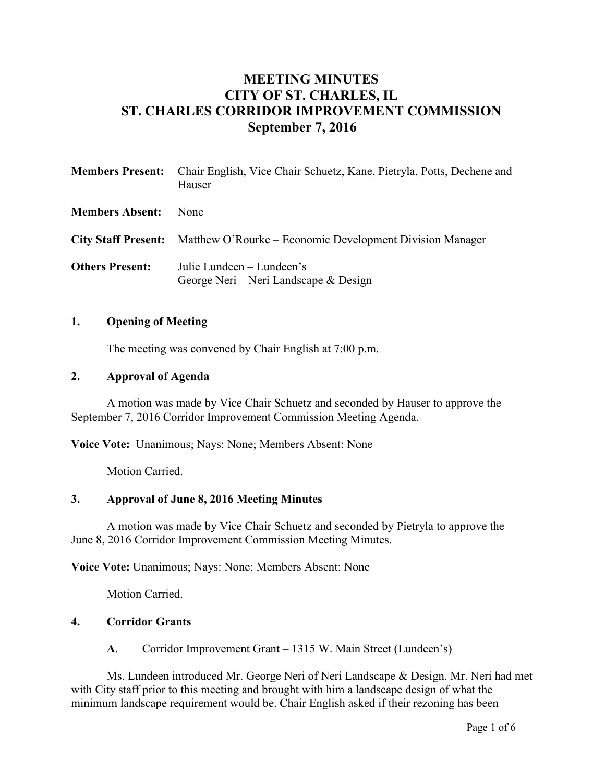# **MEETING MINUTES CITY OF ST. CHARLES, IL ST. CHARLES CORRIDOR IMPROVEMENT COMMISSION September 7, 2016**

|                        | <b>Members Present:</b> Chair English, Vice Chair Schuetz, Kane, Pietryla, Potts, Dechene and<br>Hauser |
|------------------------|---------------------------------------------------------------------------------------------------------|
| <b>Members Absent:</b> | <b>None</b>                                                                                             |
|                        | City Staff Present: Matthew O'Rourke – Economic Development Division Manager                            |
| <b>Others Present:</b> | Julie Lundeen – Lundeen's<br>George Neri – Neri Landscape $\&$ Design                                   |

#### **1. Opening of Meeting**

The meeting was convened by Chair English at 7:00 p.m.

#### **2. Approval of Agenda**

A motion was made by Vice Chair Schuetz and seconded by Hauser to approve the September 7, 2016 Corridor Improvement Commission Meeting Agenda.

**Voice Vote:** Unanimous; Nays: None; Members Absent: None

Motion Carried.

# **3. Approval of June 8, 2016 Meeting Minutes**

A motion was made by Vice Chair Schuetz and seconded by Pietryla to approve the June 8, 2016 Corridor Improvement Commission Meeting Minutes.

**Voice Vote:** Unanimous; Nays: None; Members Absent: None

Motion Carried.

### **4. Corridor Grants**

**A**. Corridor Improvement Grant – 1315 W. Main Street (Lundeen's)

Ms. Lundeen introduced Mr. George Neri of Neri Landscape & Design. Mr. Neri had met with City staff prior to this meeting and brought with him a landscape design of what the minimum landscape requirement would be. Chair English asked if their rezoning has been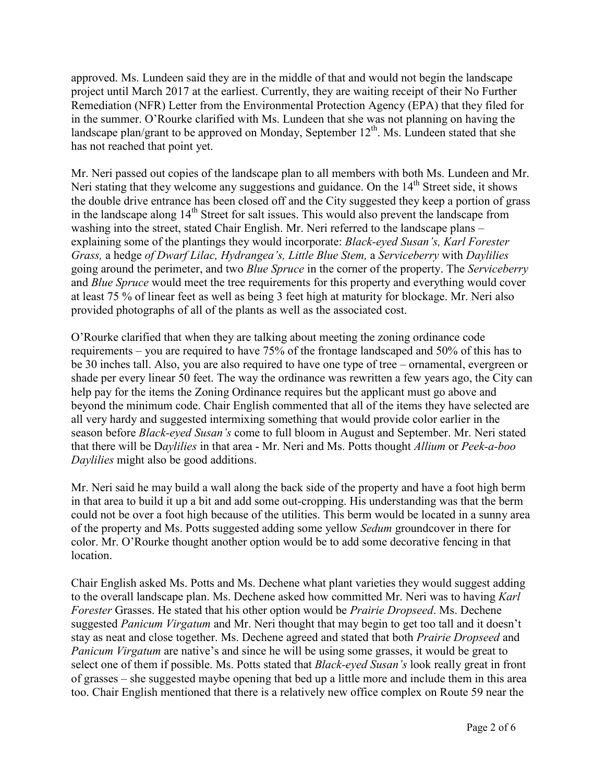approved. Ms. Lundeen said they are in the middle of that and would not begin the landscape project until March 2017 at the earliest. Currently, they are waiting receipt of their No Further Remediation (NFR) Letter from the Environmental Protection Agency (EPA) that they filed for in the summer. O'Rourke clarified with Ms. Lundeen that she was not planning on having the landscape plan/grant to be approved on Monday, September  $12^{th}$ . Ms. Lundeen stated that she has not reached that point yet.

Mr. Neri passed out copies of the landscape plan to all members with both Ms. Lundeen and Mr. Neri stating that they welcome any suggestions and guidance. On the 14<sup>th</sup> Street side, it shows the double drive entrance has been closed off and the City suggested they keep a portion of grass in the landscape along 14<sup>th</sup> Street for salt issues. This would also prevent the landscape from washing into the street, stated Chair English. Mr. Neri referred to the landscape plans – explaining some of the plantings they would incorporate: *Black-eyed Susan's, Karl Forester Grass,* a hedge *of Dwarf Lilac, Hydrangea's, Little Blue Stem,* a *Serviceberry* with *Daylilies* going around the perimeter, and two *Blue Spruce* in the corner of the property. The *Serviceberry* and *Blue Spruce* would meet the tree requirements for this property and everything would cover at least 75 % of linear feet as well as being 3 feet high at maturity for blockage. Mr. Neri also provided photographs of all of the plants as well as the associated cost.

O'Rourke clarified that when they are talking about meeting the zoning ordinance code requirements – you are required to have 75% of the frontage landscaped and 50% of this has to be 30 inches tall. Also, you are also required to have one type of tree – ornamental, evergreen or shade per every linear 50 feet. The way the ordinance was rewritten a few years ago, the City can help pay for the items the Zoning Ordinance requires but the applicant must go above and beyond the minimum code. Chair English commented that all of the items they have selected are all very hardy and suggested intermixing something that would provide color earlier in the season before *Black-eyed Susan's* come to full bloom in August and September. Mr. Neri stated that there will be D*aylilies* in that area - Mr. Neri and Ms. Potts thought *Allium* or *Peek-a-boo Daylilies* might also be good additions.

Mr. Neri said he may build a wall along the back side of the property and have a foot high berm in that area to build it up a bit and add some out-cropping. His understanding was that the berm could not be over a foot high because of the utilities. This berm would be located in a sunny area of the property and Ms. Potts suggested adding some yellow *Sedum* groundcover in there for color. Mr. O'Rourke thought another option would be to add some decorative fencing in that location.

Chair English asked Ms. Potts and Ms. Dechene what plant varieties they would suggest adding to the overall landscape plan. Ms. Dechene asked how committed Mr. Neri was to having *Karl Forester* Grasses. He stated that his other option would be *Prairie Dropseed*. Ms. Dechene suggested *Panicum Virgatum* and Mr. Neri thought that may begin to get too tall and it doesn't stay as neat and close together. Ms. Dechene agreed and stated that both *Prairie Dropseed* and *Panicum Virgatum* are native's and since he will be using some grasses, it would be great to select one of them if possible. Ms. Potts stated that *Black-eyed Susan's* look really great in front of grasses – she suggested maybe opening that bed up a little more and include them in this area too. Chair English mentioned that there is a relatively new office complex on Route 59 near the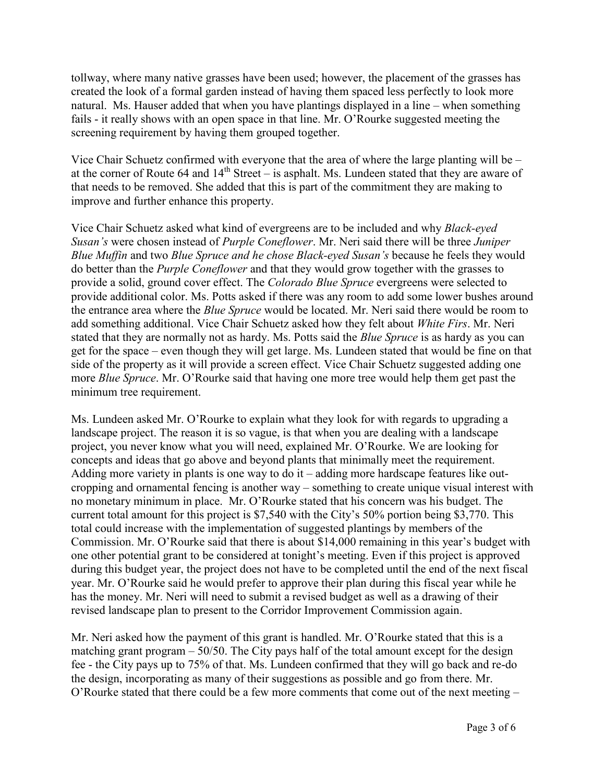tollway, where many native grasses have been used; however, the placement of the grasses has created the look of a formal garden instead of having them spaced less perfectly to look more natural. Ms. Hauser added that when you have plantings displayed in a line – when something fails - it really shows with an open space in that line. Mr. O'Rourke suggested meeting the screening requirement by having them grouped together.

Vice Chair Schuetz confirmed with everyone that the area of where the large planting will be – at the corner of Route 64 and 14<sup>th</sup> Street – is asphalt. Ms. Lundeen stated that they are aware of that needs to be removed. She added that this is part of the commitment they are making to improve and further enhance this property.

Vice Chair Schuetz asked what kind of evergreens are to be included and why *Black-eyed Susan's* were chosen instead of *Purple Coneflower*. Mr. Neri said there will be three *Juniper Blue Muffin* and two *Blue Spruce and he chose Black-eyed Susan's* because he feels they would do better than the *Purple Coneflower* and that they would grow together with the grasses to provide a solid, ground cover effect. The *Colorado Blue Spruce* evergreens were selected to provide additional color. Ms. Potts asked if there was any room to add some lower bushes around the entrance area where the *Blue Spruce* would be located. Mr. Neri said there would be room to add something additional. Vice Chair Schuetz asked how they felt about *White Firs*. Mr. Neri stated that they are normally not as hardy. Ms. Potts said the *Blue Spruce* is as hardy as you can get for the space – even though they will get large. Ms. Lundeen stated that would be fine on that side of the property as it will provide a screen effect. Vice Chair Schuetz suggested adding one more *Blue Spruce*. Mr. O'Rourke said that having one more tree would help them get past the minimum tree requirement.

Ms. Lundeen asked Mr. O'Rourke to explain what they look for with regards to upgrading a landscape project. The reason it is so vague, is that when you are dealing with a landscape project, you never know what you will need, explained Mr. O'Rourke. We are looking for concepts and ideas that go above and beyond plants that minimally meet the requirement. Adding more variety in plants is one way to do it – adding more hardscape features like outcropping and ornamental fencing is another way – something to create unique visual interest with no monetary minimum in place. Mr. O'Rourke stated that his concern was his budget. The current total amount for this project is \$7,540 with the City's 50% portion being \$3,770. This total could increase with the implementation of suggested plantings by members of the Commission. Mr. O'Rourke said that there is about \$14,000 remaining in this year's budget with one other potential grant to be considered at tonight's meeting. Even if this project is approved during this budget year, the project does not have to be completed until the end of the next fiscal year. Mr. O'Rourke said he would prefer to approve their plan during this fiscal year while he has the money. Mr. Neri will need to submit a revised budget as well as a drawing of their revised landscape plan to present to the Corridor Improvement Commission again.

Mr. Neri asked how the payment of this grant is handled. Mr. O'Rourke stated that this is a matching grant program  $-50/50$ . The City pays half of the total amount except for the design fee - the City pays up to 75% of that. Ms. Lundeen confirmed that they will go back and re-do the design, incorporating as many of their suggestions as possible and go from there. Mr. O'Rourke stated that there could be a few more comments that come out of the next meeting –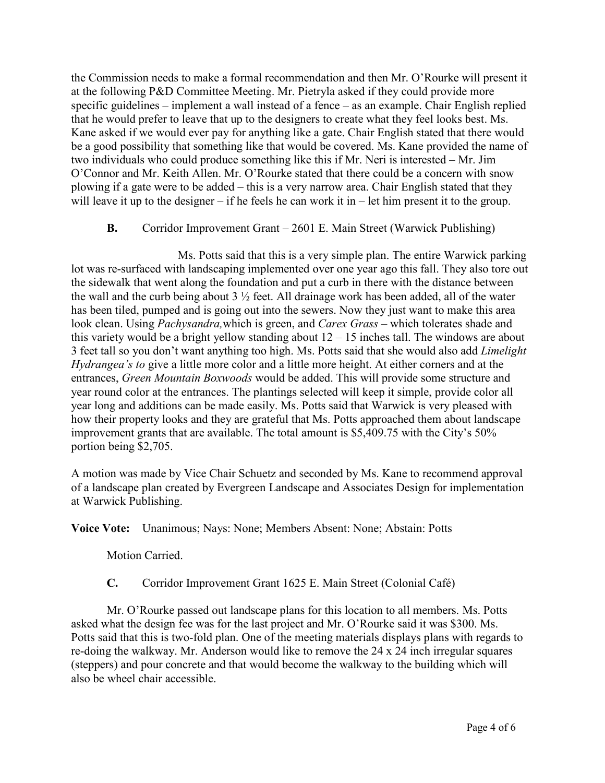the Commission needs to make a formal recommendation and then Mr. O'Rourke will present it at the following P&D Committee Meeting. Mr. Pietryla asked if they could provide more specific guidelines – implement a wall instead of a fence – as an example. Chair English replied that he would prefer to leave that up to the designers to create what they feel looks best. Ms. Kane asked if we would ever pay for anything like a gate. Chair English stated that there would be a good possibility that something like that would be covered. Ms. Kane provided the name of two individuals who could produce something like this if Mr. Neri is interested – Mr. Jim O'Connor and Mr. Keith Allen. Mr. O'Rourke stated that there could be a concern with snow plowing if a gate were to be added – this is a very narrow area. Chair English stated that they will leave it up to the designer – if he feels he can work it in – let him present it to the group.

## **B.** Corridor Improvement Grant – 2601 E. Main Street (Warwick Publishing)

Ms. Potts said that this is a very simple plan. The entire Warwick parking lot was re-surfaced with landscaping implemented over one year ago this fall. They also tore out the sidewalk that went along the foundation and put a curb in there with the distance between the wall and the curb being about  $3\frac{1}{2}$  feet. All drainage work has been added, all of the water has been tiled, pumped and is going out into the sewers. Now they just want to make this area look clean. Using *Pachysandra,*which is green, and *Carex Grass* – which tolerates shade and this variety would be a bright yellow standing about  $12 - 15$  inches tall. The windows are about 3 feet tall so you don't want anything too high. Ms. Potts said that she would also add *Limelight Hydrangea's to* give a little more color and a little more height. At either corners and at the entrances, *Green Mountain Boxwoods* would be added. This will provide some structure and year round color at the entrances. The plantings selected will keep it simple, provide color all year long and additions can be made easily. Ms. Potts said that Warwick is very pleased with how their property looks and they are grateful that Ms. Potts approached them about landscape improvement grants that are available. The total amount is \$5,409.75 with the City's 50% portion being \$2,705.

A motion was made by Vice Chair Schuetz and seconded by Ms. Kane to recommend approval of a landscape plan created by Evergreen Landscape and Associates Design for implementation at Warwick Publishing.

**Voice Vote:** Unanimous; Nays: None; Members Absent: None; Abstain: Potts

Motion Carried.

**C.** Corridor Improvement Grant 1625 E. Main Street (Colonial Café)

Mr. O'Rourke passed out landscape plans for this location to all members. Ms. Potts asked what the design fee was for the last project and Mr. O'Rourke said it was \$300. Ms. Potts said that this is two-fold plan. One of the meeting materials displays plans with regards to re-doing the walkway. Mr. Anderson would like to remove the 24 x 24 inch irregular squares (steppers) and pour concrete and that would become the walkway to the building which will also be wheel chair accessible.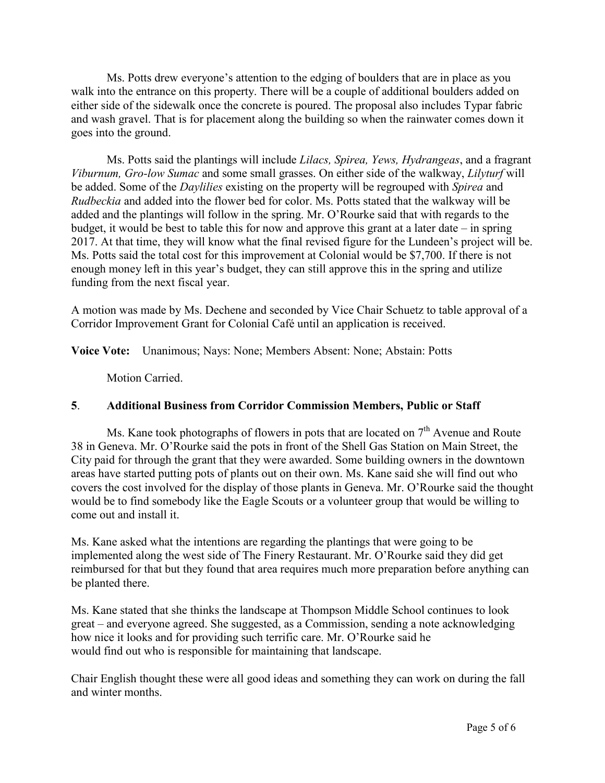Ms. Potts drew everyone's attention to the edging of boulders that are in place as you walk into the entrance on this property. There will be a couple of additional boulders added on either side of the sidewalk once the concrete is poured. The proposal also includes Typar fabric and wash gravel. That is for placement along the building so when the rainwater comes down it goes into the ground.

Ms. Potts said the plantings will include *Lilacs, Spirea, Yews, Hydrangeas*, and a fragrant *Viburnum, Gro-low Sumac* and some small grasses. On either side of the walkway, *Lilyturf* will be added. Some of the *Daylilies* existing on the property will be regrouped with *Spirea* and *Rudbeckia* and added into the flower bed for color. Ms. Potts stated that the walkway will be added and the plantings will follow in the spring. Mr. O'Rourke said that with regards to the budget, it would be best to table this for now and approve this grant at a later date – in spring 2017. At that time, they will know what the final revised figure for the Lundeen's project will be. Ms. Potts said the total cost for this improvement at Colonial would be \$7,700. If there is not enough money left in this year's budget, they can still approve this in the spring and utilize funding from the next fiscal year.

A motion was made by Ms. Dechene and seconded by Vice Chair Schuetz to table approval of a Corridor Improvement Grant for Colonial Café until an application is received.

**Voice Vote:** Unanimous; Nays: None; Members Absent: None; Abstain: Potts

Motion Carried.

## **5**. **Additional Business from Corridor Commission Members, Public or Staff**

Ms. Kane took photographs of flowers in pots that are located on  $7<sup>th</sup>$  Avenue and Route 38 in Geneva. Mr. O'Rourke said the pots in front of the Shell Gas Station on Main Street, the City paid for through the grant that they were awarded. Some building owners in the downtown areas have started putting pots of plants out on their own. Ms. Kane said she will find out who covers the cost involved for the display of those plants in Geneva. Mr. O'Rourke said the thought would be to find somebody like the Eagle Scouts or a volunteer group that would be willing to come out and install it.

Ms. Kane asked what the intentions are regarding the plantings that were going to be implemented along the west side of The Finery Restaurant. Mr. O'Rourke said they did get reimbursed for that but they found that area requires much more preparation before anything can be planted there.

Ms. Kane stated that she thinks the landscape at Thompson Middle School continues to look great – and everyone agreed. She suggested, as a Commission, sending a note acknowledging how nice it looks and for providing such terrific care. Mr. O'Rourke said he would find out who is responsible for maintaining that landscape.

Chair English thought these were all good ideas and something they can work on during the fall and winter months.